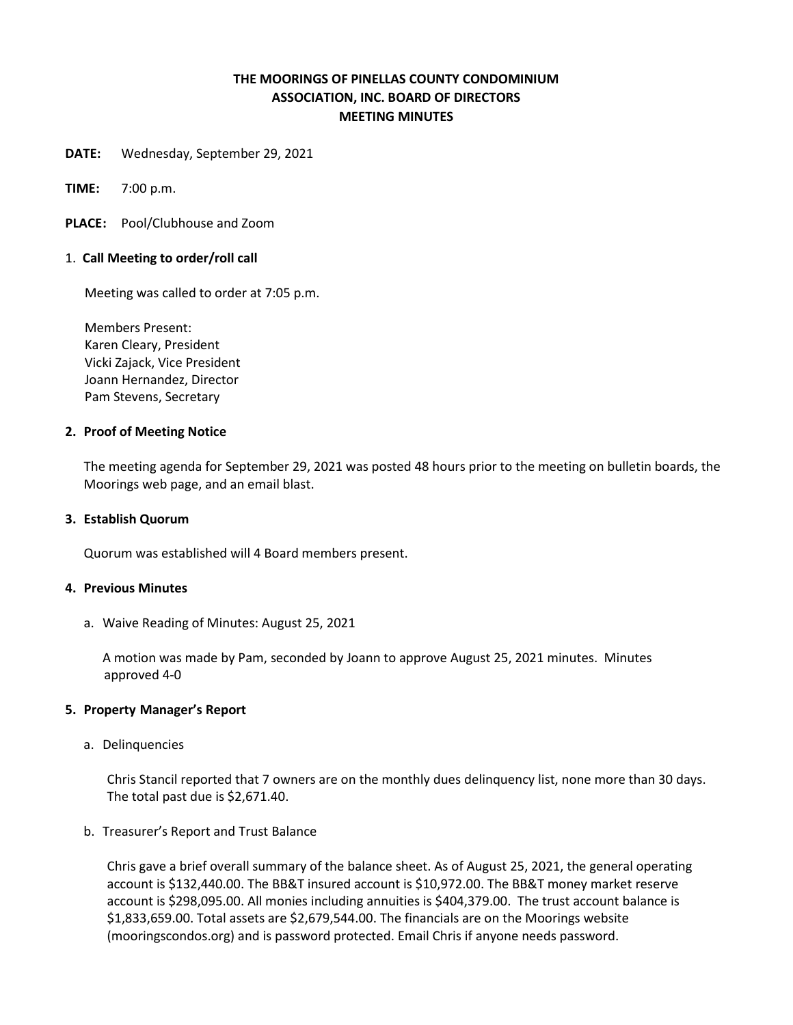# **THE MOORINGS OF PINELLAS COUNTY CONDOMINIUM ASSOCIATION, INC. BOARD OF DIRECTORS MEETING MINUTES**

**DATE:** Wednesday, September 29, 2021

**TIME:** 7:00 p.m.

**PLACE:** Pool/Clubhouse and Zoom

### 1. **Call Meeting to order/roll call**

Meeting was called to order at 7:05 p.m.

 Members Present: Karen Cleary, President Vicki Zajack, Vice President Joann Hernandez, Director Pam Stevens, Secretary

#### **2. Proof of Meeting Notice**

The meeting agenda for September 29, 2021 was posted 48 hours prior to the meeting on bulletin boards, the Moorings web page, and an email blast.

#### **3. Establish Quorum**

Quorum was established will 4 Board members present.

#### **4. Previous Minutes**

a. Waive Reading of Minutes: August 25, 2021

A motion was made by Pam, seconded by Joann to approve August 25, 2021 minutes. Minutes approved 4-0

#### **5. Property Manager's Report**

a. Delinquencies

Chris Stancil reported that 7 owners are on the monthly dues delinquency list, none more than 30 days. The total past due is \$2,671.40.

### b. Treasurer's Report and Trust Balance

Chris gave a brief overall summary of the balance sheet. As of August 25, 2021, the general operating account is \$132,440.00. The BB&T insured account is \$10,972.00. The BB&T money market reserve account is \$298,095.00. All monies including annuities is \$404,379.00. The trust account balance is \$1,833,659.00. Total assets are \$2,679,544.00. The financials are on the Moorings website (mooringscondos.org) and is password protected. Email Chris if anyone needs password.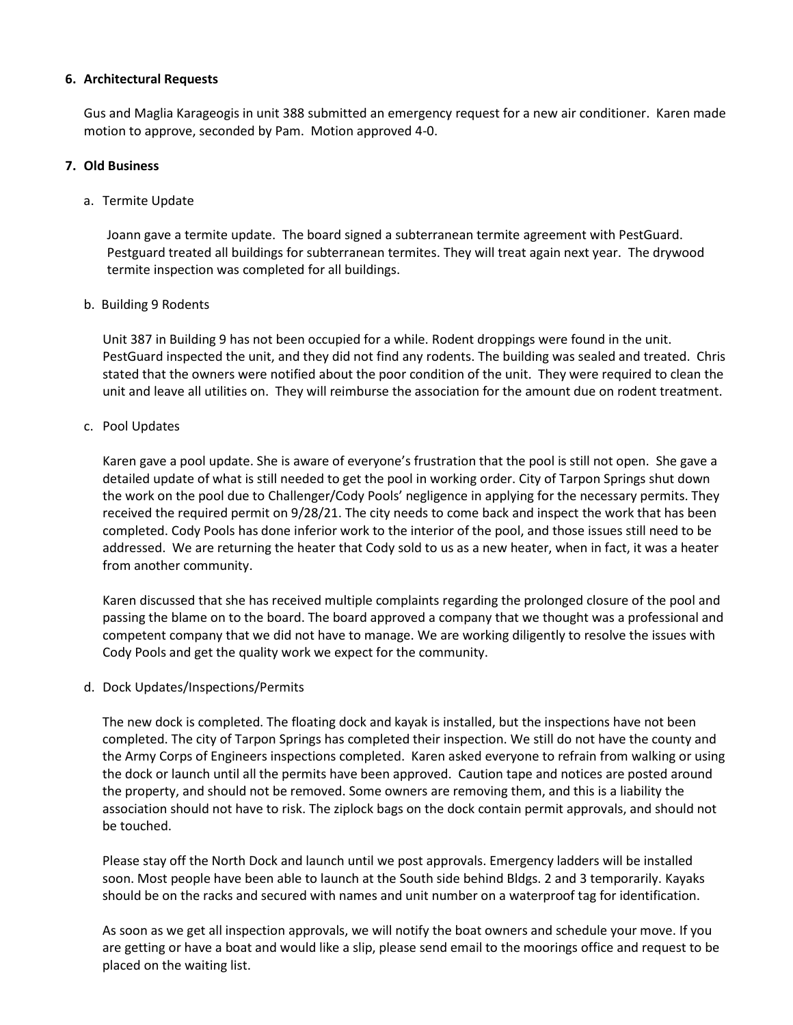### **6. Architectural Requests**

Gus and Maglia Karageogis in unit 388 submitted an emergency request for a new air conditioner. Karen made motion to approve, seconded by Pam. Motion approved 4-0.

## **7. Old Business**

# a. Termite Update

Joann gave a termite update. The board signed a subterranean termite agreement with PestGuard. Pestguard treated all buildings for subterranean termites. They will treat again next year. The drywood termite inspection was completed for all buildings.

# b. Building 9 Rodents

Unit 387 in Building 9 has not been occupied for a while. Rodent droppings were found in the unit. PestGuard inspected the unit, and they did not find any rodents. The building was sealed and treated. Chris stated that the owners were notified about the poor condition of the unit. They were required to clean the unit and leave all utilities on. They will reimburse the association for the amount due on rodent treatment.

# c. Pool Updates

Karen gave a pool update. She is aware of everyone's frustration that the pool is still not open. She gave a detailed update of what is still needed to get the pool in working order. City of Tarpon Springs shut down the work on the pool due to Challenger/Cody Pools' negligence in applying for the necessary permits. They received the required permit on 9/28/21. The city needs to come back and inspect the work that has been completed. Cody Pools has done inferior work to the interior of the pool, and those issues still need to be addressed. We are returning the heater that Cody sold to us as a new heater, when in fact, it was a heater from another community.

Karen discussed that she has received multiple complaints regarding the prolonged closure of the pool and passing the blame on to the board. The board approved a company that we thought was a professional and competent company that we did not have to manage. We are working diligently to resolve the issues with Cody Pools and get the quality work we expect for the community.

### d. Dock Updates/Inspections/Permits

The new dock is completed. The floating dock and kayak is installed, but the inspections have not been completed. The city of Tarpon Springs has completed their inspection. We still do not have the county and the Army Corps of Engineers inspections completed. Karen asked everyone to refrain from walking or using the dock or launch until all the permits have been approved. Caution tape and notices are posted around the property, and should not be removed. Some owners are removing them, and this is a liability the association should not have to risk. The ziplock bags on the dock contain permit approvals, and should not be touched.

Please stay off the North Dock and launch until we post approvals. Emergency ladders will be installed soon. Most people have been able to launch at the South side behind Bldgs. 2 and 3 temporarily. Kayaks should be on the racks and secured with names and unit number on a waterproof tag for identification.

As soon as we get all inspection approvals, we will notify the boat owners and schedule your move. If you are getting or have a boat and would like a slip, please send email to the moorings office and request to be placed on the waiting list.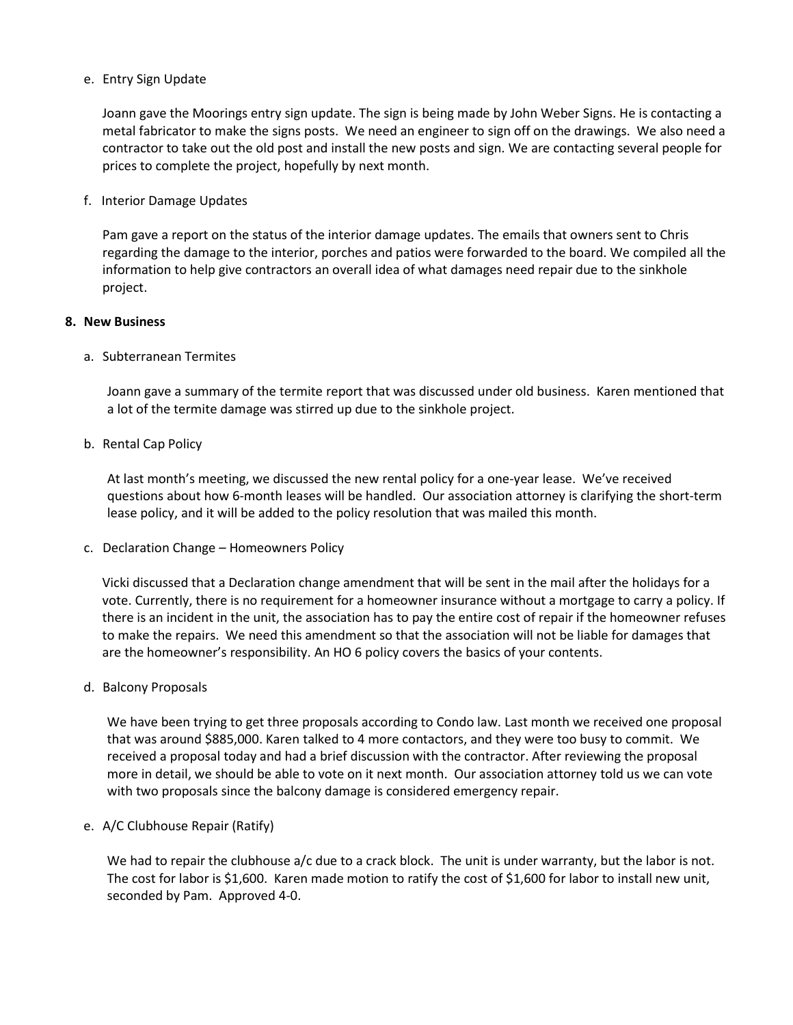### e. Entry Sign Update

Joann gave the Moorings entry sign update. The sign is being made by John Weber Signs. He is contacting a metal fabricator to make the signs posts. We need an engineer to sign off on the drawings. We also need a contractor to take out the old post and install the new posts and sign. We are contacting several people for prices to complete the project, hopefully by next month.

#### f. Interior Damage Updates

Pam gave a report on the status of the interior damage updates. The emails that owners sent to Chris regarding the damage to the interior, porches and patios were forwarded to the board. We compiled all the information to help give contractors an overall idea of what damages need repair due to the sinkhole project.

### **8. New Business**

### a. Subterranean Termites

Joann gave a summary of the termite report that was discussed under old business. Karen mentioned that a lot of the termite damage was stirred up due to the sinkhole project.

### b. Rental Cap Policy

At last month's meeting, we discussed the new rental policy for a one-year lease. We've received questions about how 6-month leases will be handled. Our association attorney is clarifying the short-term lease policy, and it will be added to the policy resolution that was mailed this month.

c. Declaration Change – Homeowners Policy

Vicki discussed that a Declaration change amendment that will be sent in the mail after the holidays for a vote. Currently, there is no requirement for a homeowner insurance without a mortgage to carry a policy. If there is an incident in the unit, the association has to pay the entire cost of repair if the homeowner refuses to make the repairs. We need this amendment so that the association will not be liable for damages that are the homeowner's responsibility. An HO 6 policy covers the basics of your contents.

d. Balcony Proposals

We have been trying to get three proposals according to Condo law. Last month we received one proposal that was around \$885,000. Karen talked to 4 more contactors, and they were too busy to commit. We received a proposal today and had a brief discussion with the contractor. After reviewing the proposal more in detail, we should be able to vote on it next month. Our association attorney told us we can vote with two proposals since the balcony damage is considered emergency repair.

#### e. A/C Clubhouse Repair (Ratify)

We had to repair the clubhouse a/c due to a crack block. The unit is under warranty, but the labor is not. The cost for labor is \$1,600. Karen made motion to ratify the cost of \$1,600 for labor to install new unit, seconded by Pam. Approved 4-0.